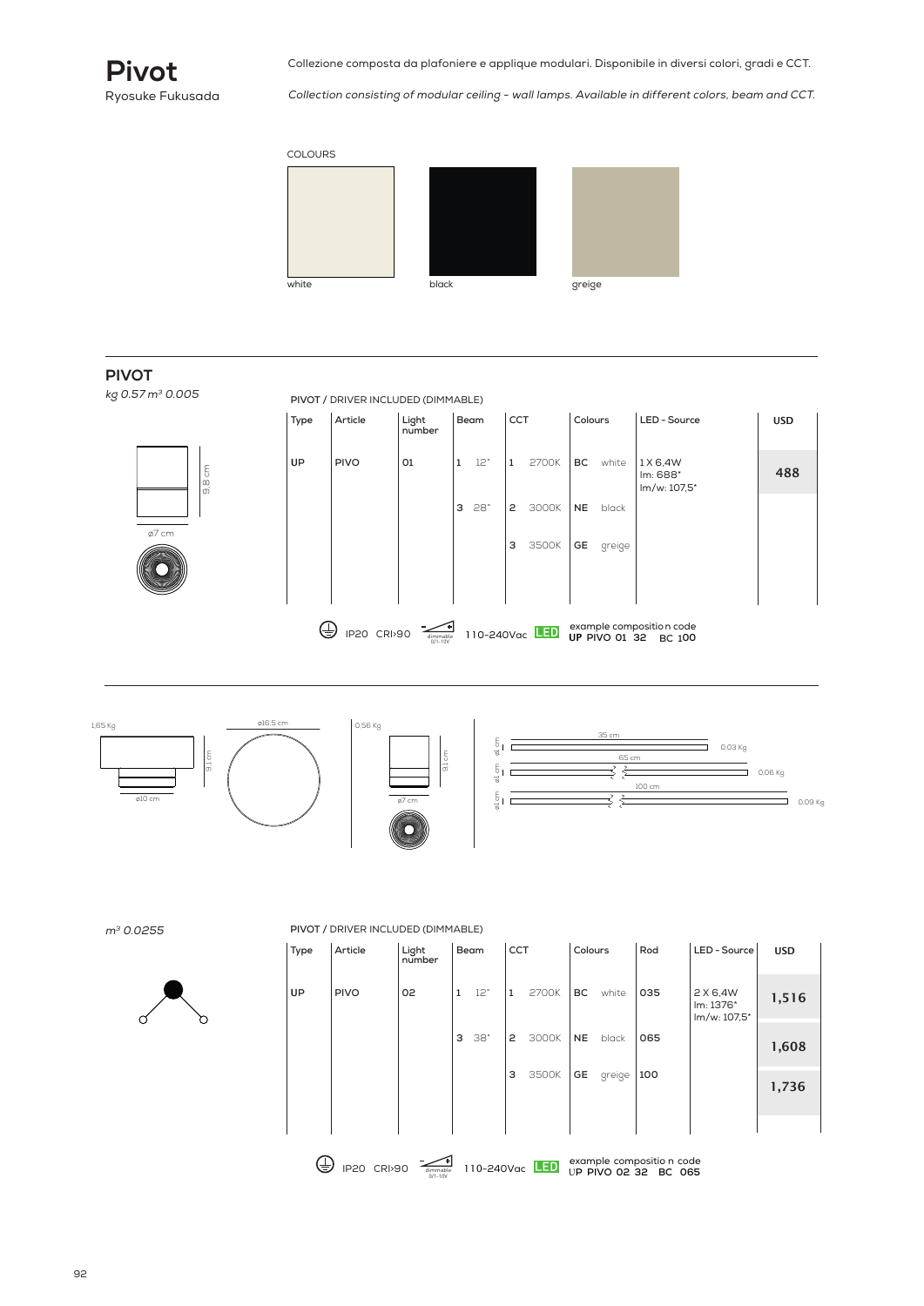

Collezione composta da plafoniere e applique modulari. Disponibile in diversi colori, gradi e CCT.

Collection consisting of modular ceiling - wall lamps. Available in different colors, beam and CCT.



#### kg 0.57 m<sup>3</sup> 0.005 **PIVOT**

**PIVOT /** DRIVER INCLUDED (DIMMABLE)



|           |                                      | Light<br>number | Beam     |  | <b>CCT</b>   |                       | Colours   |        | LED - Source                         | <b>USD</b> |  |
|-----------|--------------------------------------|-----------------|----------|--|--------------|-----------------------|-----------|--------|--------------------------------------|------------|--|
| <b>UP</b> | <b>PIVO</b>                          | 01              | 12°<br>1 |  | $\mathbf{1}$ | 2700K                 | BC        | white  | 1 X 6,4W<br>Im: 688*<br>lm/w: 107,5* | 488        |  |
|           |                                      |                 | 28°<br>З |  | 3000K<br>2   |                       | <b>NE</b> | black  |                                      |            |  |
|           |                                      |                 |          |  | з            | 3500K                 | GE        | greige |                                      |            |  |
|           |                                      |                 |          |  |              |                       |           |        |                                      |            |  |
| ≐         | <b>CRI&gt;90</b><br>IP <sub>20</sub> |                 |          |  |              | 110-240Vac <b>LED</b> |           |        | example composition code             |            |  |



<sup>m</sup><sup>3</sup> 0.0255



#### **PIVOT /** DRIVER INCLUDED (DIMMABLE)

| Type | Article     | Light<br>number | Beam         |     | <b>CCT</b> |             | Colours   |        | Rod                       | LED - Source                          | <b>USD</b> |
|------|-------------|-----------------|--------------|-----|------------|-------------|-----------|--------|---------------------------|---------------------------------------|------------|
| UP   | <b>PIVO</b> | 02              | $\mathbf{1}$ | 12° | 1          | 2700K       | <b>BC</b> | white  | 035                       | 2 X 6,4W<br>Im: 1376*<br>lm/w: 107,5* | 1,516      |
|      |             |                 | З            | 38° | 2          | 3000K       | <b>NE</b> | black  | 065                       |                                       | 1,608      |
|      |             |                 |              |     | з          | 3500K       | <b>GE</b> | greige | 100                       |                                       | 1,736      |
|      |             |                 |              |     |            |             |           |        |                           |                                       |            |
| ר ו  |             | Ή.              |              |     |            | $F_{\rm E}$ |           |        | example compositio n code |                                       |            |

example compositio n code 110-240Vac U**P PIVO 02 32 BC 065** IP20 CRI>90 0/1-10V dimmable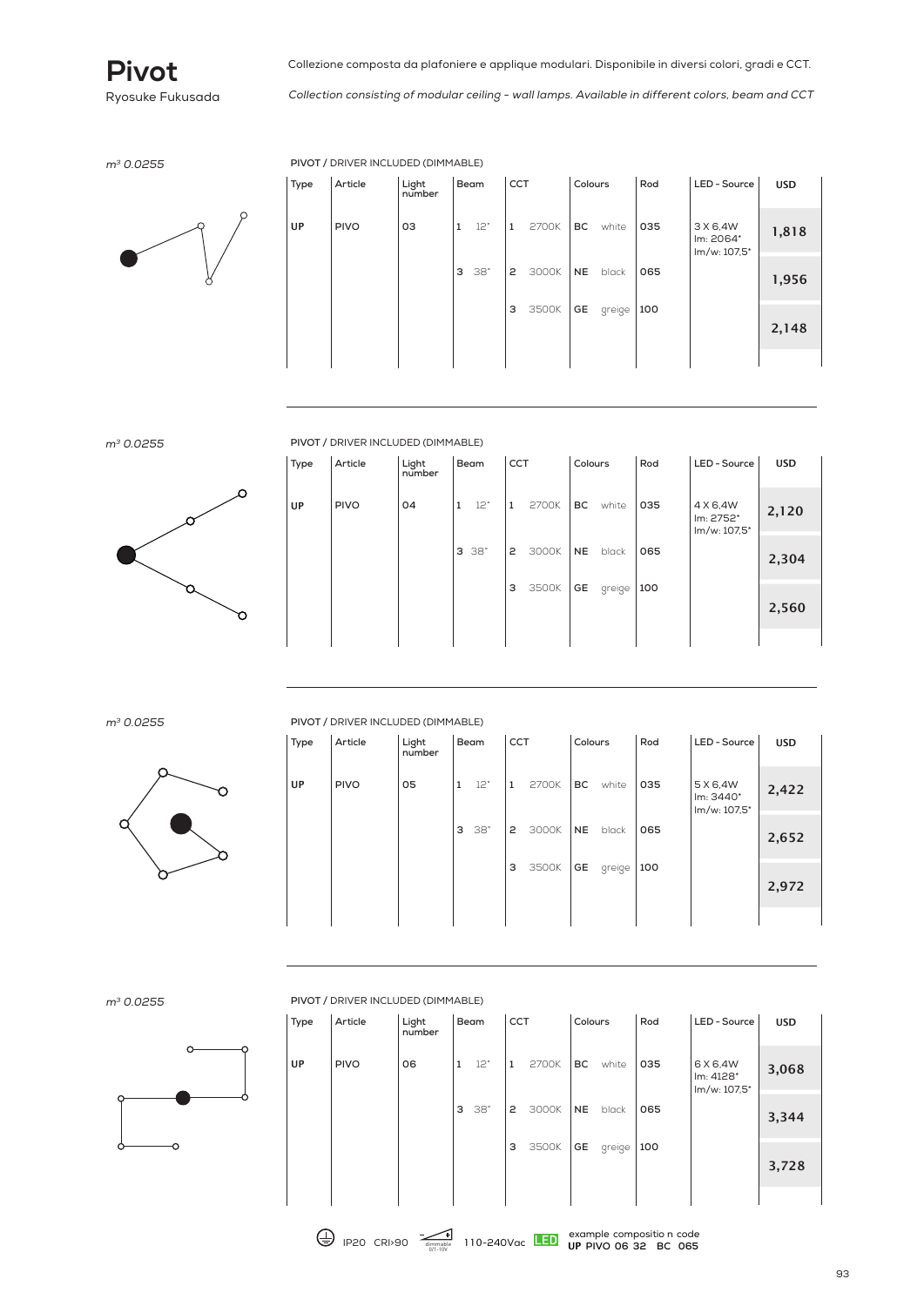

Collection consisting of modular ceiling - wall lamps. Available in different colors, beam and CCT

<sup>m</sup><sup>3</sup> 0.0255 **PIVOT /** DRIVER INCLUDED (DIMMABLE)



| Type | Article     | Light<br>number | Beam         |            | CCT |       | Colours   |        | Rod | LED - Source                          | <b>USD</b> |
|------|-------------|-----------------|--------------|------------|-----|-------|-----------|--------|-----|---------------------------------------|------------|
| UP   | <b>PIVO</b> | OЗ              | $\mathbf{1}$ | 12°        | 1   | 2700K | <b>BC</b> | white  | 035 | 3 X 6,4W<br>Im: 2064*<br>lm/w: 107,5* | 1,818      |
|      |             |                 | З            | $38^\circ$ | 2   | 3000K | <b>NE</b> | black  | 065 |                                       | 1,956      |
|      |             |                 |              |            | 3   | 3500K | GE        | greige | 100 |                                       | 2,148      |
|      |             |                 |              |            |     |       |           |        |     |                                       |            |



<sup>m</sup><sup>3</sup> 0.0255 **PIVOT /** DRIVER INCLUDED (DIMMABLE)

| Type | Article     | Light<br>number | Beam         |     |   | <b>CCT</b> |           | Colours      | Rod | LED - Source                          | <b>USD</b> |
|------|-------------|-----------------|--------------|-----|---|------------|-----------|--------------|-----|---------------------------------------|------------|
| UP   | <b>PIVO</b> | 04              | $\mathbf{1}$ | 12° | 1 | 2700K      | BC        | white        | 035 | 4 X 6,4W<br>lm: 2752*<br>lm/w: 107,5* | 2,120      |
|      |             |                 | З            | 38° | 2 | 3000K      | <b>NE</b> | black<br>065 |     | 2,304                                 |            |
|      |             |                 |              |     | з | 3500K      | GE        | greige       | 100 |                                       | 2,560      |
|      |             |                 |              |     |   |            |           |              |     |                                       |            |



<sup>m</sup><sup>3</sup> 0.0255 **PIVOT /** DRIVER INCLUDED (DIMMABLE)

| Type      | Article     | Light<br>number | Beam         |                | CCT |       | Colours   |        | Rod | LED - Source                          | <b>USD</b> |
|-----------|-------------|-----------------|--------------|----------------|-----|-------|-----------|--------|-----|---------------------------------------|------------|
| <b>UP</b> | <b>PIVO</b> | 05              | $\mathbf{1}$ | 12°            | 1   | 2700K | <b>BC</b> | white  | 035 | 5 X 6,4W<br>Im: 3440*<br>lm/w: 107,5* | 2,422      |
|           |             |                 |              | $3 \t38^\circ$ | 2   | 3000K | <b>NE</b> | black  | 065 |                                       | 2,652      |
|           |             |                 |              |                | з   | 3500K | GE        | greige | 100 |                                       | 2,972      |
|           |             |                 |              |                |     |       |           |        |     |                                       |            |

m<sup>3</sup> 0.0255



| PIVOT / DRIVER INCLUDED (DIMIMABLE) |             |                 |      |     |              |       |           |        |     |                                       |            |  |
|-------------------------------------|-------------|-----------------|------|-----|--------------|-------|-----------|--------|-----|---------------------------------------|------------|--|
| Type                                | Article     | Light<br>number | Beam |     | <b>CCT</b>   |       | Colours   |        | Rod | LED - Source                          | <b>USD</b> |  |
| UP                                  | <b>PIVO</b> | 06              | 1    | 12° | $\mathbf{1}$ | 2700K | ВC        | white  | 035 | 6 X 6,4W<br>lm: 4128*<br>lm/w: 107,5* | 3,068      |  |
|                                     |             |                 | З    | 38° | 2            | 3000K | <b>NE</b> | black  | 065 |                                       | 3,344      |  |
|                                     |             |                 |      |     | з            | 3500K | GE        | greige | 100 |                                       | 3,728      |  |
|                                     |             |                 |      |     |              |       |           |        |     |                                       |            |  |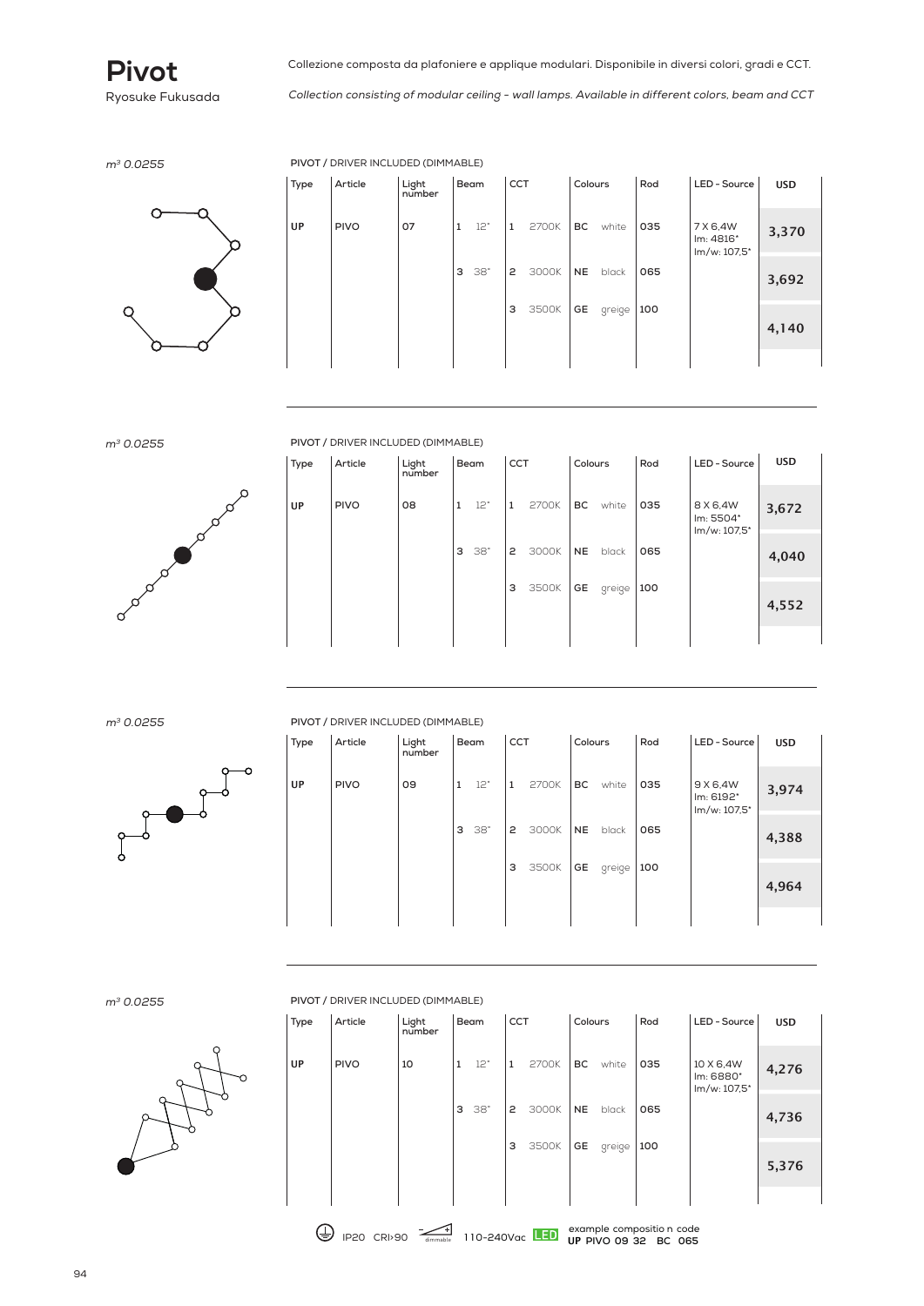

Collection consisting of modular ceiling - wall lamps. Available in different colors, beam and CCT

<sup>m</sup><sup>3</sup> 0.0255 **PIVOT /** DRIVER INCLUDED (DIMMABLE)



| Type | Article     | Light<br>number | Beam         |     | <b>CCT</b> |       | Colours   |        | Rod | LED - Source                          | <b>USD</b> |
|------|-------------|-----------------|--------------|-----|------------|-------|-----------|--------|-----|---------------------------------------|------------|
| UP   | <b>PIVO</b> | 07              | $\mathbf{1}$ | 12° | 1          | 2700K | <b>BC</b> | white  | 035 | 7 X 6,4W<br>Im: 4816*<br>lm/w: 107,5* | 3,370      |
|      |             |                 | З            | 38° | 2          | 3000K | <b>NE</b> | black  | 065 |                                       | 3,692      |
|      |             |                 |              |     | з          | 3500K | GE        | greige | 100 |                                       | 4,140      |
|      |             |                 |              |     |            |       |           |        |     |                                       |            |



<sup>m</sup><sup>3</sup> 0.0255 **PIVOT /** DRIVER INCLUDED (DIMMABLE)

| Type | Article     | Light<br>number | <b>CCT</b><br>Beam |     |   | Colours |           | Rod    | LED - Source | <b>USD</b>                            |       |
|------|-------------|-----------------|--------------------|-----|---|---------|-----------|--------|--------------|---------------------------------------|-------|
| UP   | <b>PIVO</b> | 08              | $\mathbf{1}$       | 12° | 1 | 2700K   | <b>BC</b> | white  | 035          | 8 X 6,4W<br>Im: 5504*<br>lm/w: 107,5* | 3,672 |
|      |             |                 | З                  | 38° | 2 | 3000K   | <b>NE</b> | black  | 065          |                                       | 4,040 |
|      |             |                 |                    |     | з | 3500K   | GE        | greige | 100          |                                       | 4,552 |
|      |             |                 |                    |     |   |         |           |        |              |                                       |       |



<sup>m</sup><sup>3</sup> 0.0255 **PIVOT /** DRIVER INCLUDED (DIMMABLE)

| Type      | Article     | Light<br>number |              | Beam |   | <b>CCT</b> |           | Colours | Rod | LED - Source                          | <b>USD</b> |
|-----------|-------------|-----------------|--------------|------|---|------------|-----------|---------|-----|---------------------------------------|------------|
| <b>UP</b> | <b>PIVO</b> | 09              | $\mathbf{1}$ | 12°  | 1 | 2700K      | <b>BC</b> | white   | 035 | 9 X 6,4W<br>Im: 6192*<br>lm/w: 107,5* | 3,974      |
|           |             |                 | З            | 38°  | 2 | 3000K      | <b>NE</b> | black   | 065 |                                       | 4,388      |
|           |             |                 |              |      | з | 3500K      | GE        | greige  | 100 |                                       | 4,964      |
|           |             |                 |              |      |   |            |           |         |     |                                       |            |

m<sup>3</sup> 0.0255 **PIVOT** 



|      | FIVOT / DINIVENTIVOLODED (DIFIFIADEL) |                 |              |     |              |                |           |                      |                                     |                                        |            |  |  |  |
|------|---------------------------------------|-----------------|--------------|-----|--------------|----------------|-----------|----------------------|-------------------------------------|----------------------------------------|------------|--|--|--|
| Type | Article                               | Light<br>number | Beam         |     | <b>CCT</b>   |                | Colours   |                      | Rod                                 | LED - Source                           | <b>USD</b> |  |  |  |
| UP   | <b>PIVO</b>                           | 10              | $\mathbf{1}$ | 12° | $\mathbf{1}$ | 2700K          | BC        | white                | 035                                 | 10 X 6,4W<br>Im: 6880*<br>lm/w: 107,5* | 4,276      |  |  |  |
|      |                                       |                 | З            | 38° | 2            | 3000K          | <b>NE</b> | black                | 065                                 |                                        | 4,736      |  |  |  |
|      |                                       |                 |              |     | з            | 3500K          | GE        | greige               | 100                                 |                                        | 5,376      |  |  |  |
| ≂    | <b>IP20</b><br><b>CRI&gt;90</b>       | dimmable        |              |     |              | 110-240Vac LED |           | <b>UP PIVO 09 32</b> | example compositio n code<br>BC 065 |                                        |            |  |  |  |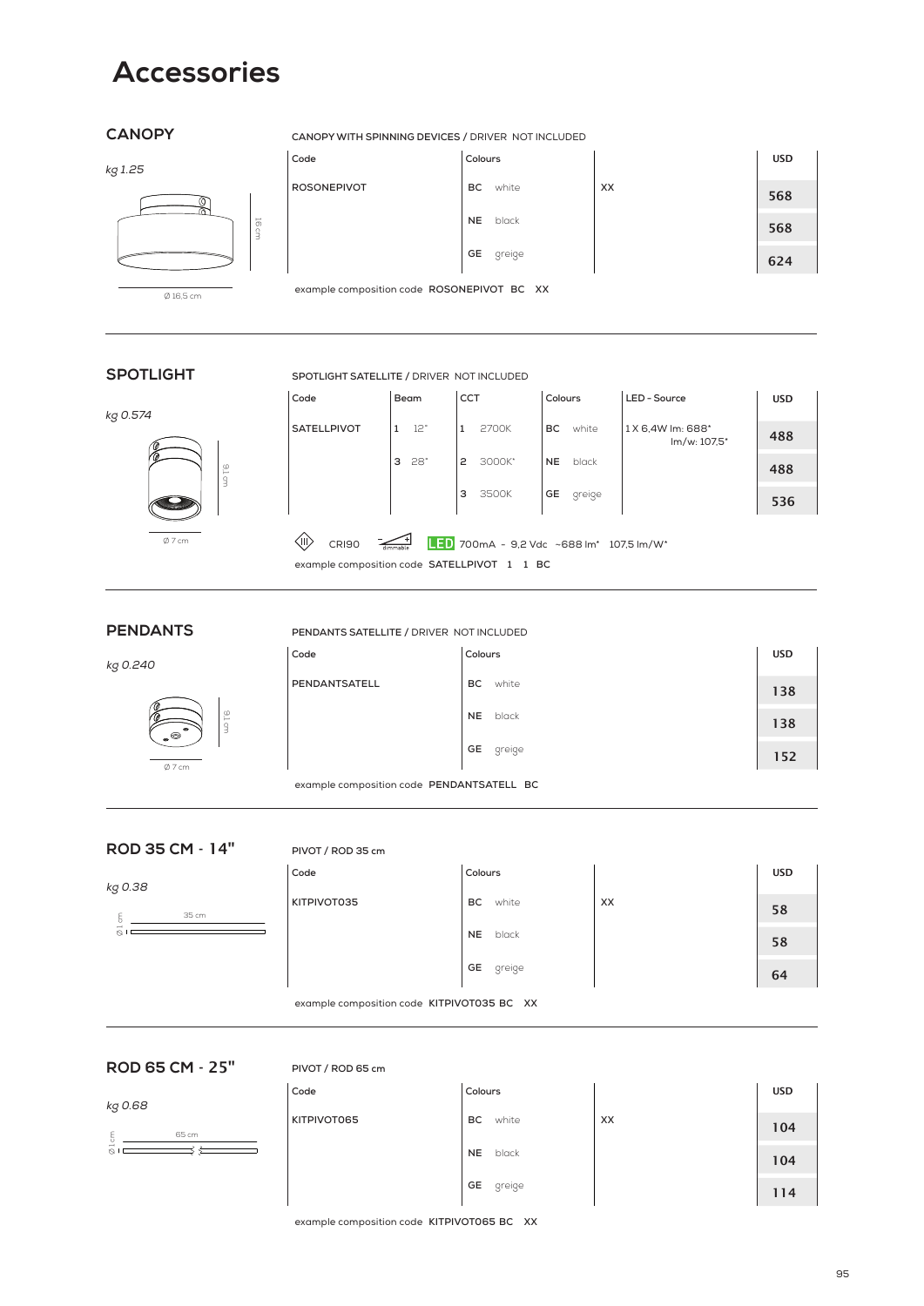## **Accessories**

#### **CANOPY**

#### kg 1.25



#### **CANOPY WITH SPINNING DEVICES /** DRIVER NOT INCLUDED

| Code               | Colours            |    | <b>USD</b> |
|--------------------|--------------------|----|------------|
| <b>ROSONEPIVOT</b> | white<br>BC.       | XX | 568        |
|                    | <b>NE</b><br>black |    | 568        |
|                    | GE<br>greige       |    | 624        |

example composition code **ROSONEPIVOT BC XX** 

**SPOTLIGHT SATELLITE /** DRIVER NOT INCLUDED

### **SPOTLIGHT**

#### kg 0.574



9,1 cm

| ode | Beam | <sub>CCT</sub> | Colou |
|-----|------|----------------|-------|

| Code                                                                | Beam                | <b>CCT</b>                               | Colours            | LED - Source                     | <b>USD</b> |
|---------------------------------------------------------------------|---------------------|------------------------------------------|--------------------|----------------------------------|------------|
| <b>SATELLPIVOT</b>                                                  | 12°<br>$\mathbf{1}$ | 2700K<br>1                               | BC.<br>white       | 1X 6,4W lm: 688*<br>lm/w: 107.5* | 488        |
|                                                                     | $28^\circ$<br>3     | 3000K*<br>$\mathsf{P}$                   | <b>NE</b><br>black |                                  | 488        |
|                                                                     |                     | 3<br>3500K                               | GE<br>greige       |                                  | 536        |
| ⟨II)<br><b>CRI90</b><br>example composition code SATELLPIVOT 1 1 BC |                     | LED 700mA - 9,2 Vdc ~688 lm* 107,5 lm/W* |                    |                                  |            |

**PENDANTS**

kg 0.240



| Code | Colours |
|------|---------|
|      |         |

| Colours   |        | <b>USD</b> |
|-----------|--------|------------|
| <b>BC</b> | white  | 138        |
| <b>NE</b> | black  | 138        |
| GE        | greige | 152        |

example composition code **PENDANTSATELL BC**

**PENDANTS SATELLITE /** DRIVER NOT INCLUDED

#### **ROD 35 CM** - 14"

#### **PIVOT / ROD 35 cm**

**PENDANTSATELL** 

| kg 0.38                        | Code        | Colours            |    | <b>USD</b> |
|--------------------------------|-------------|--------------------|----|------------|
| 35 cm                          | KITPIVOT035 | ВC<br>white        | XX | 58         |
| $\overline{\phantom{0}}$<br>O, |             | black<br><b>NE</b> |    | 58         |
|                                |             | GE<br>greige       |    | 64         |

example composition code **KITPIVOT035 BC XX** 

#### **ROD 65 CM** - 25"

#### **PIVOT / ROD 65 cm**

| kg 0.68 | Code        | Colours            |    | <b>USD</b> |
|---------|-------------|--------------------|----|------------|
| 65 cm   | KITPIVOT065 | BC<br>white        | XX | 104        |
| -<br>n. |             | black<br><b>NE</b> |    | 104        |
|         |             | GE<br>greige       |    | 114        |

example composition code **KITPIVOT065 BC XX**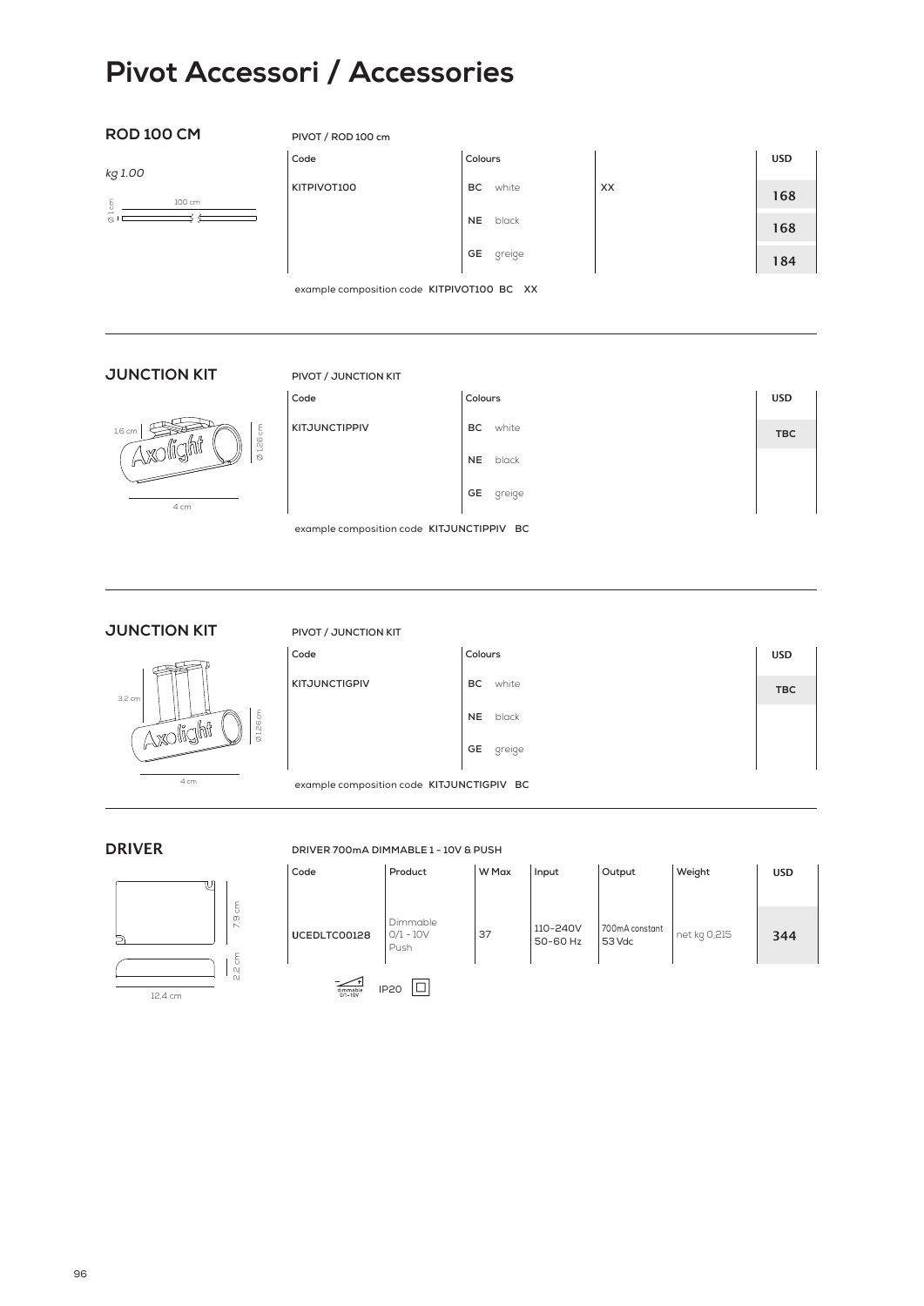## **Pivot Accessori / Accessories**

**Code Colours**

#### **ROD 100 CM**

**PIVOT / ROD 100 cm**

 $K$ <sup>T</sup>PIVOT100

kg 1.00

| c<br>c | сm<br>____ |
|--------|------------|
|        |            |

| Colours   |          |    | <b>USD</b> |
|-----------|----------|----|------------|
| <b>BC</b> | white    | XX | 168        |
|           | NE black |    | 168        |
| GE        | greige   |    | 184        |

example composition code **KITPIVOT100 BC XX** 

#### **JUNCTION KIT**

## **PIVOT / JUNCTION KIT**



| Code                 | Colours   |        | <b>USD</b> |
|----------------------|-----------|--------|------------|
| <b>KITJUNCTIPPIV</b> | BC.       | white  | <b>TBC</b> |
|                      | <b>NE</b> | black  |            |
|                      | GE        | greige |            |

example composition code **KITJUNCTIPPIV BC**

**JUNCTION KIT**



2,2 cm 7,9 cm

2,2 cm

7,9 cm

#### **PIVOT / JUNCTION KIT**

| Code          | Colours      | <b>USD</b> |
|---------------|--------------|------------|
| KITJUNCTIGPIV | BC.<br>white | <b>TBC</b> |
|               | NE black     |            |
|               | GE<br>greige |            |

example composition code **KITJUNCTIGPIV BC**

## **D**RIVER

12,4 cm

#### **DRIVER 700mA DIMMABLE 1 - 10V & PUSH**

| Code                                   | Product                         | W Max | Input                | Output                   | Weight       | <b>USD</b> |  |
|----------------------------------------|---------------------------------|-------|----------------------|--------------------------|--------------|------------|--|
|                                        |                                 |       |                      |                          |              |            |  |
| UCEDLTC00128                           | Dimmable<br>$0/1 - 10V$<br>Push | 37    | 110-240V<br>50-60 Hz | 700mA constant<br>53 Vdc | net kg 0,215 | 344        |  |
| <b>IP20</b><br>dimmable<br>$0/1 - 10V$ |                                 |       |                      |                          |              |            |  |